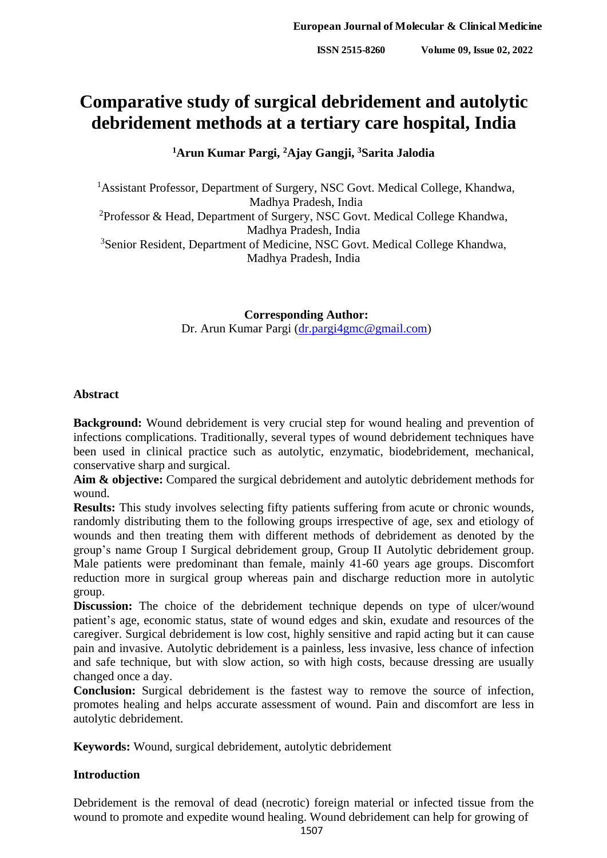# **Comparative study of surgical debridement and autolytic debridement methods at a tertiary care hospital, India**

**<sup>1</sup>Arun Kumar Pargi, <sup>2</sup>Ajay Gangji, <sup>3</sup>Sarita Jalodia**

<sup>1</sup>Assistant Professor, Department of Surgery, NSC Govt. Medical College, Khandwa, Madhya Pradesh, India <sup>2</sup>Professor & Head, Department of Surgery, NSC Govt. Medical College Khandwa, Madhya Pradesh, India <sup>3</sup>Senior Resident, Department of Medicine, NSC Govt. Medical College Khandwa, Madhya Pradesh, India

> **Corresponding Author:** Dr. Arun Kumar Pargi [\(dr.pargi4gmc@gmail.com\)](mailto:dr.pargi4gmc@gmail.com)

## **Abstract**

**Background:** Wound debridement is very crucial step for wound healing and prevention of infections complications. Traditionally, several types of wound debridement techniques have been used in clinical practice such as autolytic, enzymatic, biodebridement, mechanical, conservative sharp and surgical.

**Aim & objective:** Compared the surgical debridement and autolytic debridement methods for wound.

**Results:** This study involves selecting fifty patients suffering from acute or chronic wounds, randomly distributing them to the following groups irrespective of age, sex and etiology of wounds and then treating them with different methods of debridement as denoted by the group's name Group I Surgical debridement group, Group II Autolytic debridement group. Male patients were predominant than female, mainly 41-60 years age groups. Discomfort reduction more in surgical group whereas pain and discharge reduction more in autolytic group.

**Discussion:** The choice of the debridement technique depends on type of ulcer/wound patient's age, economic status, state of wound edges and skin, exudate and resources of the caregiver. Surgical debridement is low cost, highly sensitive and rapid acting but it can cause pain and invasive. Autolytic debridement is a painless, less invasive, less chance of infection and safe technique, but with slow action, so with high costs, because dressing are usually changed once a day.

**Conclusion:** Surgical debridement is the fastest way to remove the source of infection, promotes healing and helps accurate assessment of wound. Pain and discomfort are less in autolytic debridement.

**Keywords:** Wound, surgical debridement, autolytic debridement

# **Introduction**

Debridement is the removal of dead (necrotic) foreign material or infected tissue from the wound to promote and expedite wound healing. Wound debridement can help for growing of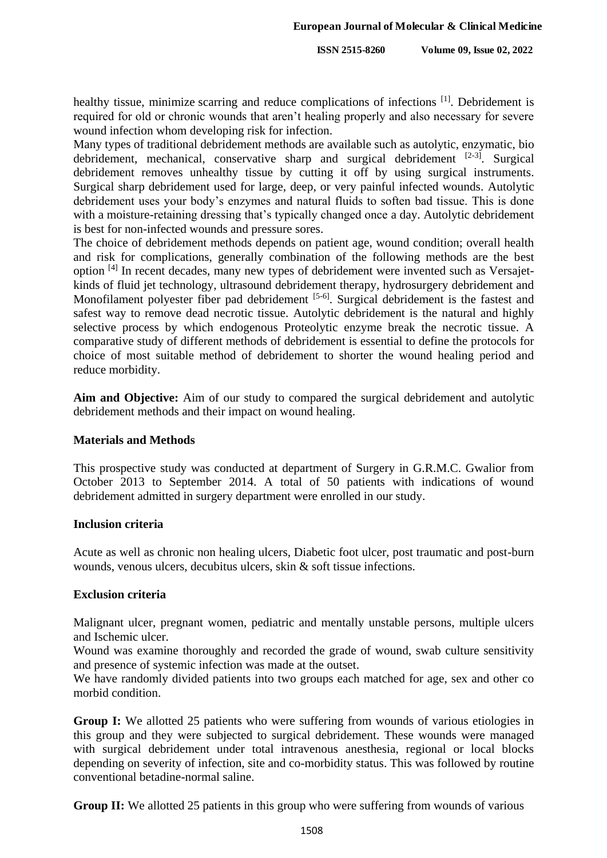healthy tissue, minimize scarring and reduce complications of infections <sup>[1]</sup>. Debridement is required for old or chronic wounds that aren't healing properly and also necessary for severe wound infection whom developing risk for infection.

Many types of traditional debridement methods are available such as autolytic, enzymatic, bio debridement, mechanical, conservative sharp and surgical debridement  $[2-3]$ . Surgical debridement removes unhealthy tissue by cutting it off by using surgical instruments. Surgical sharp debridement used for large, deep, or very painful infected wounds. Autolytic debridement uses your body's enzymes and natural fluids to soften bad tissue. This is done with a moisture-retaining dressing that's typically changed once a day. Autolytic debridement is best for non-infected wounds and pressure sores.

The choice of debridement methods depends on patient age, wound condition; overall health and risk for complications, generally combination of the following methods are the best option <sup>[4]</sup> In recent decades, many new types of debridement were invented such as Versajetkinds of fluid jet technology, ultrasound debridement therapy, hydrosurgery debridement and Monofilament polyester fiber pad debridement [5-6]. Surgical debridement is the fastest and safest way to remove dead necrotic tissue. Autolytic debridement is the natural and highly selective process by which endogenous Proteolytic enzyme break the necrotic tissue. A comparative study of different methods of debridement is essential to define the protocols for choice of most suitable method of debridement to shorter the wound healing period and reduce morbidity.

**Aim and Objective:** Aim of our study to compared the surgical debridement and autolytic debridement methods and their impact on wound healing.

## **Materials and Methods**

This prospective study was conducted at department of Surgery in G.R.M.C. Gwalior from October 2013 to September 2014. A total of 50 patients with indications of wound debridement admitted in surgery department were enrolled in our study.

#### **Inclusion criteria**

Acute as well as chronic non healing ulcers, Diabetic foot ulcer, post traumatic and post-burn wounds, venous ulcers, decubitus ulcers, skin & soft tissue infections.

#### **Exclusion criteria**

Malignant ulcer, pregnant women, pediatric and mentally unstable persons, multiple ulcers and Ischemic ulcer.

Wound was examine thoroughly and recorded the grade of wound, swab culture sensitivity and presence of systemic infection was made at the outset.

We have randomly divided patients into two groups each matched for age, sex and other co morbid condition.

Group I: We allotted 25 patients who were suffering from wounds of various etiologies in this group and they were subjected to surgical debridement. These wounds were managed with surgical debridement under total intravenous anesthesia, regional or local blocks depending on severity of infection, site and co-morbidity status. This was followed by routine conventional betadine-normal saline.

**Group II:** We allotted 25 patients in this group who were suffering from wounds of various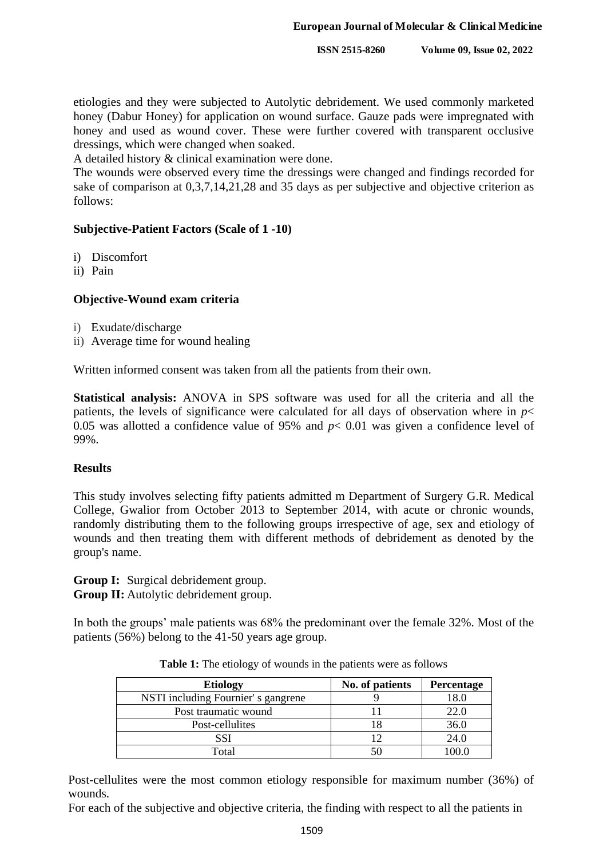etiologies and they were subjected to Autolytic debridement. We used commonly marketed honey (Dabur Honey) for application on wound surface. Gauze pads were impregnated with honey and used as wound cover. These were further covered with transparent occlusive dressings, which were changed when soaked.

A detailed history & clinical examination were done.

The wounds were observed every time the dressings were changed and findings recorded for sake of comparison at 0,3,7,14,21,28 and 35 days as per subjective and objective criterion as follows:

## **Subjective-Patient Factors (Scale of 1 -10)**

- i) Discomfort
- ii) Pain

## **Objective-Wound exam criteria**

- i) Exudate/discharge
- ii) Average time for wound healing

Written informed consent was taken from all the patients from their own.

**Statistical analysis:** ANOVA in SPS software was used for all the criteria and all the patients, the levels of significance were calculated for all days of observation where in  $p<$ 0.05 was allotted a confidence value of 95% and *p*< 0.01 was given a confidence level of 99%.

#### **Results**

This study involves selecting fifty patients admitted m Department of Surgery G.R. Medical College, Gwalior from October 2013 to September 2014, with acute or chronic wounds, randomly distributing them to the following groups irrespective of age, sex and etiology of wounds and then treating them with different methods of debridement as denoted by the group's name.

**Group I:** Surgical debridement group. **Group II:** Autolytic debridement group.

In both the groups' male patients was 68% the predominant over the female 32%. Most of the patients (56%) belong to the 41-50 years age group.

| <b>Etiology</b>                    | No. of patients | Percentage |
|------------------------------------|-----------------|------------|
| NSTI including Fournier's gangrene |                 | 18.0       |
| Post traumatic wound               |                 | 22.0       |
| Post-cellulites                    |                 | 36.0       |
| SSI                                | 12              | 24.0       |
| Total                              |                 |            |

**Table 1:** The etiology of wounds in the patients were as follows

Post-cellulites were the most common etiology responsible for maximum number (36%) of wounds.

For each of the subjective and objective criteria, the finding with respect to all the patients in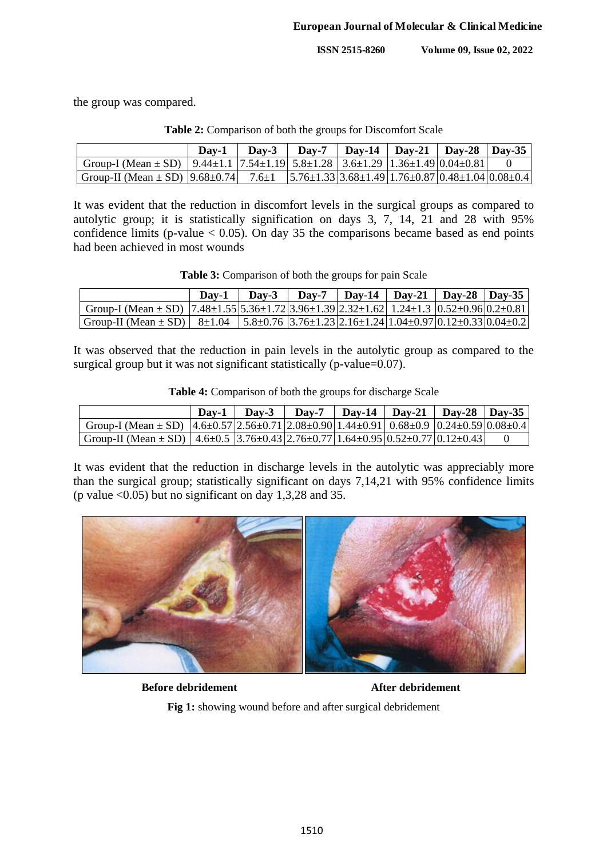**ISSN 2515-8260 Volume 09, Issue 02, 2022**

the group was compared.

|                                                                                                                                  | Dav-1 |  | Day-3   Day-7   Day-14   Day-21   Day-28   Day-35 |  |
|----------------------------------------------------------------------------------------------------------------------------------|-------|--|---------------------------------------------------|--|
| Group-I (Mean $\pm$ SD)   9.44 $\pm$ 1.1   7.54 $\pm$ 1.19   5.8 $\pm$ 1.28   3.6 $\pm$ 1.29   1.36 $\pm$ 1.49   0.04 $\pm$ 0.81 |       |  |                                                   |  |
| Group-II (Mean ± SD) $ 9.68\pm0.74 $ 7.6 $\pm1$ $ 5.76\pm1.33 3.68\pm1.49 1.76\pm0.87 0.48\pm1.04 0.08\pm0.4 $                   |       |  |                                                   |  |

**Table 2:** Comparison of both the groups for Discomfort Scale

It was evident that the reduction in discomfort levels in the surgical groups as compared to autolytic group; it is statistically signification on days 3, 7, 14, 21 and 28 with 95% confidence limits (p-value  $< 0.05$ ). On day 35 the comparisons became based as end points had been achieved in most wounds

| Table 3: Comparison of both the groups for pain Scale |  |  |
|-------------------------------------------------------|--|--|
|-------------------------------------------------------|--|--|

|                                                                                                                                                   |  |  | Day-1   Day-3   Day-7   Day-14   Day-21   Day-28   Day-35 |  |
|---------------------------------------------------------------------------------------------------------------------------------------------------|--|--|-----------------------------------------------------------|--|
| Group-I (Mean $\pm$ SD) [7.48 $\pm$ 1.55[5.36 $\pm$ 1.72[3.96 $\pm$ 1.39[2.32 $\pm$ 1.62] 1.24 $\pm$ 1.3 [0.52 $\pm$ 0.96[0.2 $\pm$ 0.81]         |  |  |                                                           |  |
| Group-II (Mean $\pm$ SD)   8 $\pm$ 1.04   5.8 $\pm$ 0.76   3.76 $\pm$ 1.23   2.16 $\pm$ 1.24   1.04 $\pm$ 0.97   0.12 $\pm$ 0.33   0.04 $\pm$ 0.2 |  |  |                                                           |  |

It was observed that the reduction in pain levels in the autolytic group as compared to the surgical group but it was not significant statistically (p-value=0.07).

|  | <b>Table 4:</b> Comparison of both the groups for discharge Scale |  |  |
|--|-------------------------------------------------------------------|--|--|
|--|-------------------------------------------------------------------|--|--|

|                                                                                                                                    | $Day-1$ Day-3 |  | Day-7   Day-14   Day-21   Day-28   Day-35 |  |
|------------------------------------------------------------------------------------------------------------------------------------|---------------|--|-------------------------------------------|--|
| Group-I (Mean $\pm$ SD) $ 4.6\pm0.57 2.56\pm0.71 2.08\pm0.90 1.44\pm0.91 0.68\pm0.9 0.24\pm0.59 0.08\pm0.4 $                       |               |  |                                           |  |
| Group-II (Mean $\pm$ SD)   4.6 $\pm$ 0.5   3.76 $\pm$ 0.43   2.76 $\pm$ 0.77   1.64 $\pm$ 0.95   0.52 $\pm$ 0.77   0.12 $\pm$ 0.43 |               |  |                                           |  |

It was evident that the reduction in discharge levels in the autolytic was appreciably more than the surgical group; statistically significant on days 7,14,21 with 95% confidence limits (p value  $\leq 0.05$ ) but no significant on day 1,3,28 and 35.



**Before debridement After debridement**

**Fig 1:** showing wound before and after surgical debridement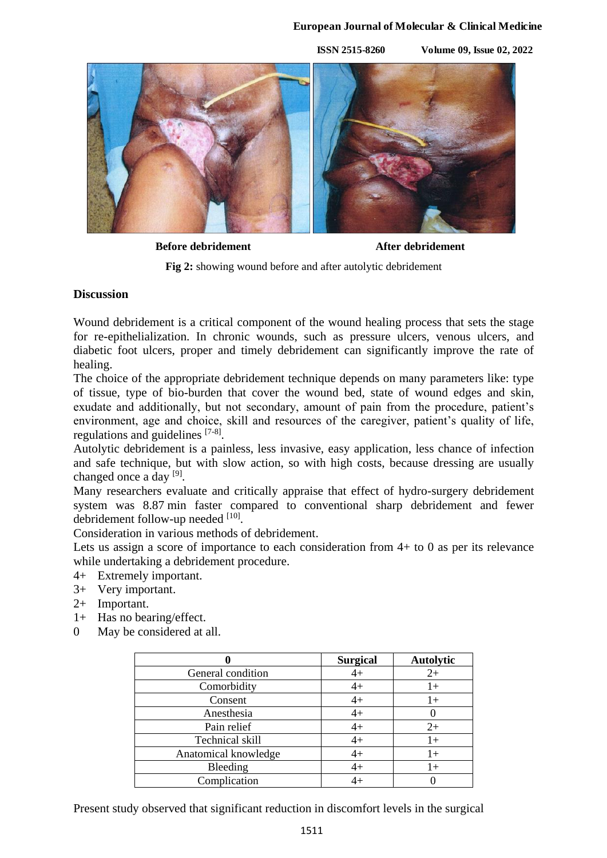## **European Journal of Molecular & Clinical Medicine**

**ISSN 2515-8260 Volume 09, Issue 02, 2022**



**Before debridement After debridement**

**Fig 2:** showing wound before and after autolytic debridement

## **Discussion**

Wound debridement is a critical component of the wound healing process that sets the stage for re-epithelialization. In chronic wounds, such as pressure ulcers, venous ulcers, and diabetic foot ulcers, proper and timely debridement can significantly improve the rate of healing.

The choice of the appropriate debridement technique depends on many parameters like: type of tissue, type of bio-burden that cover the wound bed, state of wound edges and skin, exudate and additionally, but not secondary, amount of pain from the procedure, patient's environment, age and choice, skill and resources of the caregiver, patient's quality of life, regulations and guidelines [7-8].

Autolytic debridement is a painless, less invasive, easy application, less chance of infection and safe technique, but with slow action, so with high costs, because dressing are usually changed once a day [9].

Many researchers evaluate and critically appraise that effect of hydro-surgery debridement system was 8.87 min faster compared to conventional sharp debridement and fewer debridement follow-up needed [10].

Consideration in various methods of debridement.

Lets us assign a score of importance to each consideration from 4+ to 0 as per its relevance while undertaking a debridement procedure.

- 4+ Extremely important.
- 3+ Very important.
- 2+ Important.
- 1+ Has no bearing/effect.
- 0 May be considered at all.

|                      | <b>Surgical</b> | <b>Autolytic</b> |
|----------------------|-----------------|------------------|
| General condition    | $4+$            | $2+$             |
| Comorbidity          | $4+$            | $1+$             |
| Consent              | $4+$            | $1+$             |
| Anesthesia           | $4+$            |                  |
| Pain relief          | $4+$            | $2+$             |
| Technical skill      | $4+$            | $1+$             |
| Anatomical knowledge | $4+$            | $1+$             |
| Bleeding             | $4+$            | $1+$             |
| Complication         | $4+$            |                  |

Present study observed that significant reduction in discomfort levels in the surgical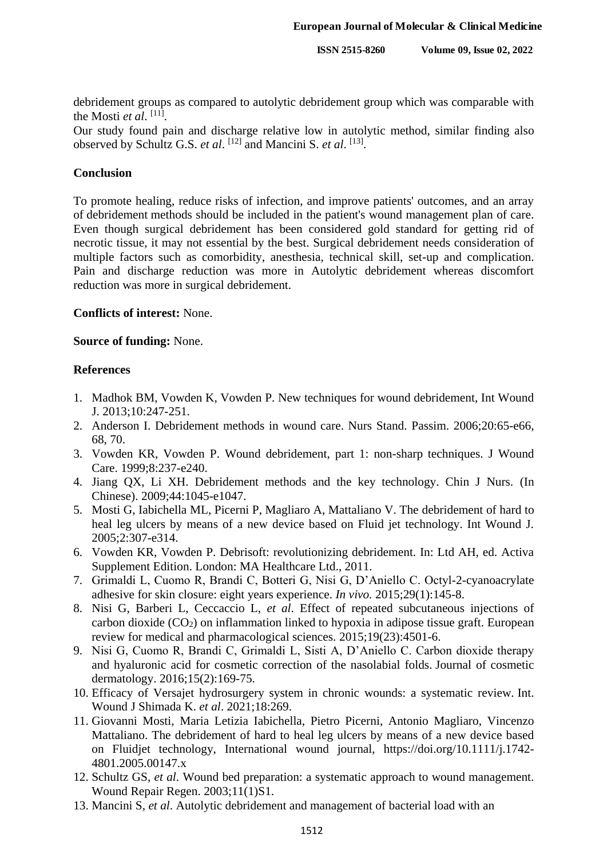**ISSN 2515-8260 Volume 09, Issue 02, 2022**

debridement groups as compared to autolytic debridement group which was comparable with the Mosti *et al*.<sup>[11]</sup>.

Our study found pain and discharge relative low in autolytic method, similar finding also observed by Schultz G.S. *et al.* <sup>[12]</sup> and Mancini S. *et al.* <sup>[13]</sup>.

## **Conclusion**

To promote healing, reduce risks of infection, and improve patients' outcomes, and an array of debridement methods should be included in the patient's wound management plan of care. Even though surgical debridement has been considered gold standard for getting rid of necrotic tissue, it may not essential by the best. Surgical debridement needs consideration of multiple factors such as comorbidity, anesthesia, technical skill, set-up and complication. Pain and discharge reduction was more in Autolytic debridement whereas discomfort reduction was more in surgical debridement.

# **Conflicts of interest:** None.

## **Source of funding:** None.

## **References**

- 1. Madhok BM, Vowden K, Vowden P. New techniques for wound debridement, Int Wound J. 2013;10:247-251.
- 2. Anderson I. Debridement methods in wound care. Nurs Stand. Passim. 2006;20:65-e66, 68, 70.
- 3. Vowden KR, Vowden P. Wound debridement, part 1: non-sharp techniques. J Wound Care. 1999;8:237-e240.
- 4. Jiang QX, Li XH. Debridement methods and the key technology. Chin J Nurs. (In Chinese). 2009;44:1045-e1047.
- 5. Mosti G, Iabichella ML, Picerni P, Magliaro A, Mattaliano V. The debridement of hard to heal leg ulcers by means of a new device based on Fluid jet technology. Int Wound J. 2005;2:307-e314.
- 6. Vowden KR, Vowden P. Debrisoft: revolutionizing debridement. In: Ltd AH, ed. Activa Supplement Edition. London: MA Healthcare Ltd., 2011.
- 7. Grimaldi L, Cuomo R, Brandi C, Botteri G, Nisi G, D'Aniello C. Octyl-2-cyanoacrylate adhesive for skin closure: eight years experience. *In vivo.* 2015;29(1):145-8.
- 8. Nisi G, Barberi L, Ceccaccio L, *et al*. Effect of repeated subcutaneous injections of carbon dioxide  $(CO_2)$  on inflammation linked to hypoxia in adipose tissue graft. European review for medical and pharmacological sciences. 2015;19(23):4501-6.
- 9. Nisi G, Cuomo R, Brandi C, Grimaldi L, Sisti A, D'Aniello C. Carbon dioxide therapy and hyaluronic acid for cosmetic correction of the nasolabial folds. Journal of cosmetic dermatology. 2016;15(2):169-75.
- 10. Efficacy of Versajet hydrosurgery system in chronic wounds: a systematic review. Int. Wound J Shimada K. *et al*. 2021;18:269.
- 11. Giovanni Mosti, Maria Letizia Iabichella, Pietro Picerni, Antonio Magliaro, Vincenzo Mattaliano. The debridement of hard to heal leg ulcers by means of a new device based on Fluidjet technology, International wound journal, https://doi.org/10.1111/j.1742- 4801.2005.00147.x
- 12. Schultz GS, *et al*. Wound bed preparation: a systematic approach to wound management. Wound Repair Regen. 2003;11(1)S1.
- 13. Mancini S, *et al*. Autolytic debridement and management of bacterial load with an